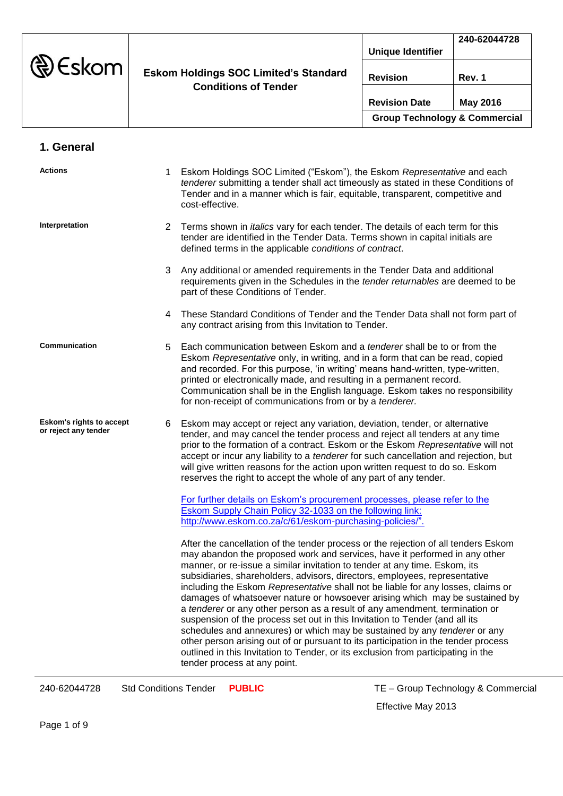|                  |                                                                             |                                          | 240-62044728 |
|------------------|-----------------------------------------------------------------------------|------------------------------------------|--------------|
| $\bigcirc$ Eskom | <b>Eskom Holdings SOC Limited's Standard</b><br><b>Conditions of Tender</b> | <b>Unique Identifier</b>                 |              |
|                  |                                                                             |                                          |              |
|                  |                                                                             | <b>Revision</b>                          | Rev. 1       |
|                  |                                                                             |                                          |              |
|                  |                                                                             | <b>Revision Date</b>                     | May 2016     |
|                  |                                                                             | <b>Group Technology &amp; Commercial</b> |              |

| 1. General |
|------------|
|------------|

| <b>Actions</b>                                          | 1. | Eskom Holdings SOC Limited ("Eskom"), the Eskom Representative and each<br>tenderer submitting a tender shall act timeously as stated in these Conditions of<br>Tender and in a manner which is fair, equitable, transparent, competitive and<br>cost-effective.                                                                                                                                                                                                                                                                                                                                                                                                                                                                                                                                                                                                                                                                                      |
|---------------------------------------------------------|----|-------------------------------------------------------------------------------------------------------------------------------------------------------------------------------------------------------------------------------------------------------------------------------------------------------------------------------------------------------------------------------------------------------------------------------------------------------------------------------------------------------------------------------------------------------------------------------------------------------------------------------------------------------------------------------------------------------------------------------------------------------------------------------------------------------------------------------------------------------------------------------------------------------------------------------------------------------|
| Interpretation                                          | 2  | Terms shown in <i>italics</i> vary for each tender. The details of each term for this<br>tender are identified in the Tender Data. Terms shown in capital initials are<br>defined terms in the applicable conditions of contract.                                                                                                                                                                                                                                                                                                                                                                                                                                                                                                                                                                                                                                                                                                                     |
|                                                         | 3  | Any additional or amended requirements in the Tender Data and additional<br>requirements given in the Schedules in the tender returnables are deemed to be<br>part of these Conditions of Tender.                                                                                                                                                                                                                                                                                                                                                                                                                                                                                                                                                                                                                                                                                                                                                     |
|                                                         | 4  | These Standard Conditions of Tender and the Tender Data shall not form part of<br>any contract arising from this Invitation to Tender.                                                                                                                                                                                                                                                                                                                                                                                                                                                                                                                                                                                                                                                                                                                                                                                                                |
| Communication                                           | 5. | Each communication between Eskom and a <i>tenderer</i> shall be to or from the<br>Eskom Representative only, in writing, and in a form that can be read, copied<br>and recorded. For this purpose, 'in writing' means hand-written, type-written,<br>printed or electronically made, and resulting in a permanent record.<br>Communication shall be in the English language. Eskom takes no responsibility<br>for non-receipt of communications from or by a tenderer.                                                                                                                                                                                                                                                                                                                                                                                                                                                                                |
| <b>Eskom's rights to accept</b><br>or reject any tender | 6  | Eskom may accept or reject any variation, deviation, tender, or alternative<br>tender, and may cancel the tender process and reject all tenders at any time<br>prior to the formation of a contract. Eskom or the Eskom Representative will not<br>accept or incur any liability to a tenderer for such cancellation and rejection, but<br>will give written reasons for the action upon written request to do so. Eskom<br>reserves the right to accept the whole of any part of any tender.                                                                                                                                                                                                                                                                                                                                                                                                                                                         |
|                                                         |    | For further details on Eskom's procurement processes, please refer to the<br><b>Eskom Supply Chain Policy 32-1033 on the following link:</b><br>http://www.eskom.co.za/c/61/eskom-purchasing-policies/".                                                                                                                                                                                                                                                                                                                                                                                                                                                                                                                                                                                                                                                                                                                                              |
|                                                         |    | After the cancellation of the tender process or the rejection of all tenders Eskom<br>may abandon the proposed work and services, have it performed in any other<br>manner, or re-issue a similar invitation to tender at any time. Eskom, its<br>subsidiaries, shareholders, advisors, directors, employees, representative<br>including the Eskom Representative shall not be liable for any losses, claims or<br>damages of whatsoever nature or howsoever arising which may be sustained by<br>a tenderer or any other person as a result of any amendment, termination or<br>suspension of the process set out in this Invitation to Tender (and all its<br>schedules and annexures) or which may be sustained by any tenderer or any<br>other person arising out of or pursuant to its participation in the tender process<br>outlined in this Invitation to Tender, or its exclusion from participating in the<br>tender process at any point. |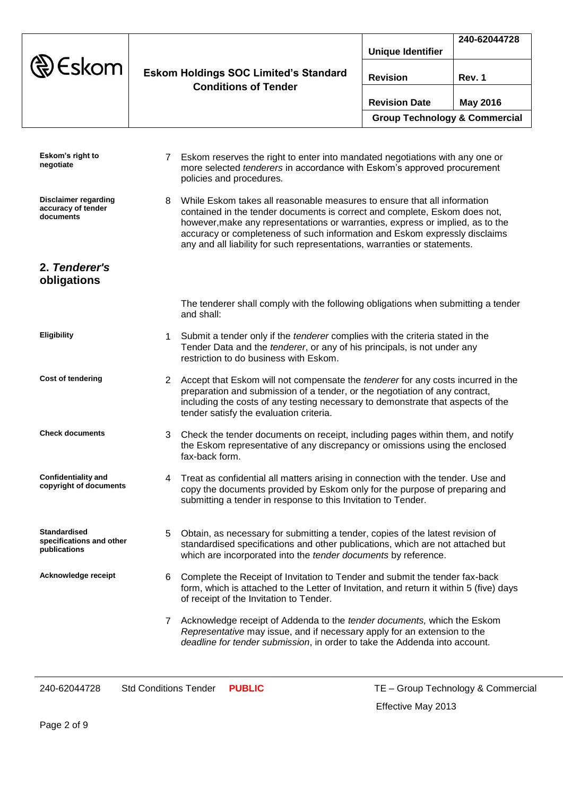|                                                                 |                     |                                                                                                                                                                                                                                                                                                                                                                                                     |                                          | 240-62044728    |
|-----------------------------------------------------------------|---------------------|-----------------------------------------------------------------------------------------------------------------------------------------------------------------------------------------------------------------------------------------------------------------------------------------------------------------------------------------------------------------------------------------------------|------------------------------------------|-----------------|
|                                                                 |                     |                                                                                                                                                                                                                                                                                                                                                                                                     | <b>Unique Identifier</b>                 |                 |
| Eskom                                                           |                     | <b>Eskom Holdings SOC Limited's Standard</b><br><b>Conditions of Tender</b>                                                                                                                                                                                                                                                                                                                         | <b>Revision</b>                          | Rev. 1          |
|                                                                 |                     |                                                                                                                                                                                                                                                                                                                                                                                                     | <b>Revision Date</b>                     | <b>May 2016</b> |
|                                                                 |                     |                                                                                                                                                                                                                                                                                                                                                                                                     | <b>Group Technology &amp; Commercial</b> |                 |
|                                                                 |                     |                                                                                                                                                                                                                                                                                                                                                                                                     |                                          |                 |
| Eskom's right to<br>negotiate                                   | 7                   | Eskom reserves the right to enter into mandated negotiations with any one or<br>more selected tenderers in accordance with Eskom's approved procurement<br>policies and procedures.                                                                                                                                                                                                                 |                                          |                 |
| <b>Disclaimer regarding</b><br>accuracy of tender<br>documents  | 8                   | While Eskom takes all reasonable measures to ensure that all information<br>contained in the tender documents is correct and complete, Eskom does not,<br>however, make any representations or warranties, express or implied, as to the<br>accuracy or completeness of such information and Eskom expressly disclaims<br>any and all liability for such representations, warranties or statements. |                                          |                 |
| 2. Tenderer's<br>obligations                                    |                     |                                                                                                                                                                                                                                                                                                                                                                                                     |                                          |                 |
|                                                                 | and shall:          | The tenderer shall comply with the following obligations when submitting a tender                                                                                                                                                                                                                                                                                                                   |                                          |                 |
| <b>Eligibility</b>                                              | $\mathbf{1}$        | Submit a tender only if the tenderer complies with the criteria stated in the<br>Tender Data and the tenderer, or any of his principals, is not under any<br>restriction to do business with Eskom.                                                                                                                                                                                                 |                                          |                 |
| <b>Cost of tendering</b>                                        |                     | 2 Accept that Eskom will not compensate the <i>tenderer</i> for any costs incurred in the<br>preparation and submission of a tender, or the negotiation of any contract,<br>including the costs of any testing necessary to demonstrate that aspects of the<br>tender satisfy the evaluation criteria.                                                                                              |                                          |                 |
| <b>Check documents</b>                                          | 3<br>fax-back form. | Check the tender documents on receipt, including pages within them, and notify<br>the Eskom representative of any discrepancy or omissions using the enclosed                                                                                                                                                                                                                                       |                                          |                 |
| <b>Confidentiality and</b><br>copyright of documents            | 4                   | Treat as confidential all matters arising in connection with the tender. Use and<br>copy the documents provided by Eskom only for the purpose of preparing and<br>submitting a tender in response to this Invitation to Tender.                                                                                                                                                                     |                                          |                 |
| <b>Standardised</b><br>specifications and other<br>publications | 5                   | Obtain, as necessary for submitting a tender, copies of the latest revision of<br>standardised specifications and other publications, which are not attached but<br>which are incorporated into the tender documents by reference.                                                                                                                                                                  |                                          |                 |
| Acknowledge receipt                                             | 6                   | Complete the Receipt of Invitation to Tender and submit the tender fax-back<br>form, which is attached to the Letter of Invitation, and return it within 5 (five) days<br>of receipt of the Invitation to Tender.                                                                                                                                                                                   |                                          |                 |

7 Acknowledge receipt of Addenda to the *tender documents,* which the Eskom *Representative* may issue, and if necessary apply for an extension to the *deadline for tender submission*, in order to take the Addenda into account.

240-62044728 Std Conditions Tender **PUBLIC** TE – Group Technology & Commercial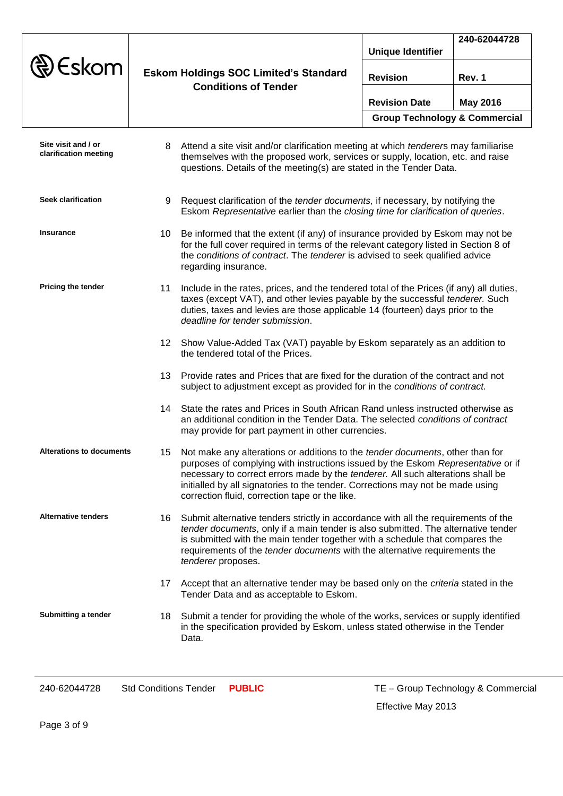|                                              |     |                                                                                                                                                                                                                                                                                                                                                                                          | <b>Unique Identifier</b>                 | 240-62044728    |
|----------------------------------------------|-----|------------------------------------------------------------------------------------------------------------------------------------------------------------------------------------------------------------------------------------------------------------------------------------------------------------------------------------------------------------------------------------------|------------------------------------------|-----------------|
| Eskom                                        |     | <b>Eskom Holdings SOC Limited's Standard</b><br><b>Conditions of Tender</b>                                                                                                                                                                                                                                                                                                              | <b>Revision</b>                          | Rev. 1          |
|                                              |     |                                                                                                                                                                                                                                                                                                                                                                                          | <b>Revision Date</b>                     | <b>May 2016</b> |
|                                              |     |                                                                                                                                                                                                                                                                                                                                                                                          | <b>Group Technology &amp; Commercial</b> |                 |
| Site visit and / or<br>clarification meeting | 8   | Attend a site visit and/or clarification meeting at which tenderers may familiarise<br>themselves with the proposed work, services or supply, location, etc. and raise<br>questions. Details of the meeting(s) are stated in the Tender Data.                                                                                                                                            |                                          |                 |
| <b>Seek clarification</b>                    |     | 9 Request clarification of the <i>tender documents</i> , if necessary, by notifying the<br>Eskom Representative earlier than the closing time for clarification of queries.                                                                                                                                                                                                              |                                          |                 |
| <b>Insurance</b>                             | 10. | Be informed that the extent (if any) of insurance provided by Eskom may not be<br>for the full cover required in terms of the relevant category listed in Section 8 of<br>the conditions of contract. The tenderer is advised to seek qualified advice<br>regarding insurance.                                                                                                           |                                          |                 |
| <b>Pricing the tender</b>                    | 11  | Include in the rates, prices, and the tendered total of the Prices (if any) all duties,<br>taxes (except VAT), and other levies payable by the successful tenderer. Such<br>duties, taxes and levies are those applicable 14 (fourteen) days prior to the<br>deadline for tender submission.                                                                                             |                                          |                 |
|                                              |     | 12 Show Value-Added Tax (VAT) payable by Eskom separately as an addition to<br>the tendered total of the Prices.                                                                                                                                                                                                                                                                         |                                          |                 |
|                                              | 13  | Provide rates and Prices that are fixed for the duration of the contract and not<br>subject to adjustment except as provided for in the conditions of contract.                                                                                                                                                                                                                          |                                          |                 |
|                                              |     | 14 State the rates and Prices in South African Rand unless instructed otherwise as<br>an additional condition in the Tender Data. The selected conditions of contract<br>may provide for part payment in other currencies.                                                                                                                                                               |                                          |                 |
| <b>Alterations to documents</b>              | 15  | Not make any alterations or additions to the tender documents, other than for<br>purposes of complying with instructions issued by the Eskom Representative or if<br>necessary to correct errors made by the tenderer. All such alterations shall be<br>initialled by all signatories to the tender. Corrections may not be made using<br>correction fluid, correction tape or the like. |                                          |                 |
| <b>Alternative tenders</b>                   |     | 16 Submit alternative tenders strictly in accordance with all the requirements of the<br>tender documents, only if a main tender is also submitted. The alternative tender<br>is submitted with the main tender together with a schedule that compares the<br>requirements of the tender documents with the alternative requirements the<br>tenderer proposes.                           |                                          |                 |
|                                              |     | 17 Accept that an alternative tender may be based only on the criteria stated in the<br>Tender Data and as acceptable to Eskom.                                                                                                                                                                                                                                                          |                                          |                 |
| Submitting a tender                          |     | 18 Submit a tender for providing the whole of the works, services or supply identified<br>in the specification provided by Eskom, unless stated otherwise in the Tender<br>Data.                                                                                                                                                                                                         |                                          |                 |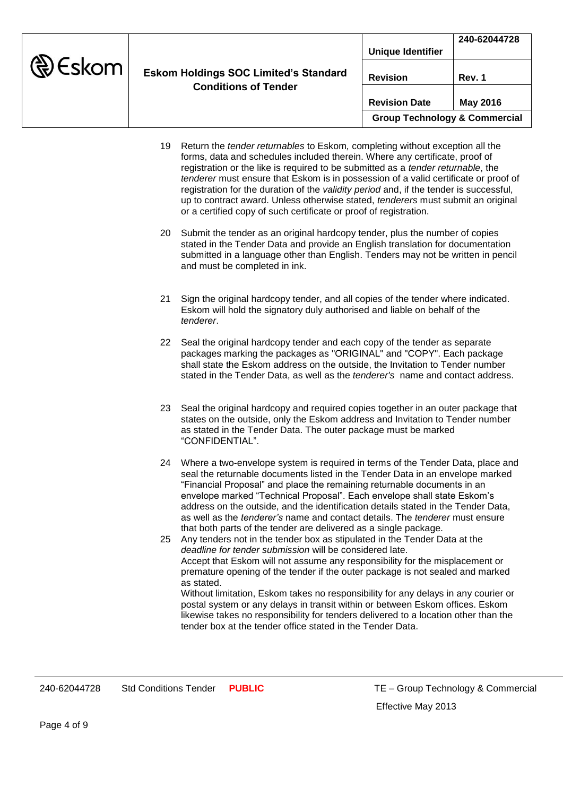|                |                                                                             |                                          | 240-62044728 |
|----------------|-----------------------------------------------------------------------------|------------------------------------------|--------------|
|                | <b>Eskom Holdings SOC Limited's Standard</b><br><b>Conditions of Tender</b> | <b>Unique Identifier</b>                 |              |
| <b>D</b> Eskom |                                                                             |                                          |              |
|                |                                                                             | <b>Revision</b>                          | Rev. 1       |
|                |                                                                             |                                          |              |
|                |                                                                             | <b>Revision Date</b>                     | May 2016     |
|                |                                                                             | <b>Group Technology &amp; Commercial</b> |              |

- 19 Return the *tender returnables* to Eskom*,* completing without exception all the forms, data and schedules included therein. Where any certificate, proof of registration or the like is required to be submitted as a *tender returnable*, the *tenderer* must ensure that Eskom is in possession of a valid certificate or proof of registration for the duration of the *validity period* and, if the tender is successful, up to contract award. Unless otherwise stated, *tenderers* must submit an original or a certified copy of such certificate or proof of registration.
- 20 Submit the tender as an original hardcopy tender, plus the number of copies stated in the Tender Data and provide an English translation for documentation submitted in a language other than English. Tenders may not be written in pencil and must be completed in ink.
- 21 Sign the original hardcopy tender, and all copies of the tender where indicated. Eskom will hold the signatory duly authorised and liable on behalf of the *tenderer*.
- 22 Seal the original hardcopy tender and each copy of the tender as separate packages marking the packages as "ORIGINAL" and "COPY". Each package shall state the Eskom address on the outside, the Invitation to Tender number stated in the Tender Data, as well as the *tenderer's* name and contact address.
- 23 Seal the original hardcopy and required copies together in an outer package that states on the outside, only the Eskom address and Invitation to Tender number as stated in the Tender Data. The outer package must be marked "CONFIDENTIAL".
- 24 Where a two-envelope system is required in terms of the Tender Data, place and seal the returnable documents listed in the Tender Data in an envelope marked "Financial Proposal" and place the remaining returnable documents in an envelope marked "Technical Proposal". Each envelope shall state Eskom's address on the outside, and the identification details stated in the Tender Data, as well as the *tenderer's* name and contact details. The *tenderer* must ensure that both parts of the tender are delivered as a single package.
- 25 Any tenders not in the tender box as stipulated in the Tender Data at the *deadline for tender submission* will be considered late. Accept that Eskom will not assume any responsibility for the misplacement or premature opening of the tender if the outer package is not sealed and marked as stated. Without limitation, Eskom takes no responsibility for any delays in any courier or

postal system or any delays in transit within or between Eskom offices. Eskom likewise takes no responsibility for tenders delivered to a location other than the tender box at the tender office stated in the Tender Data.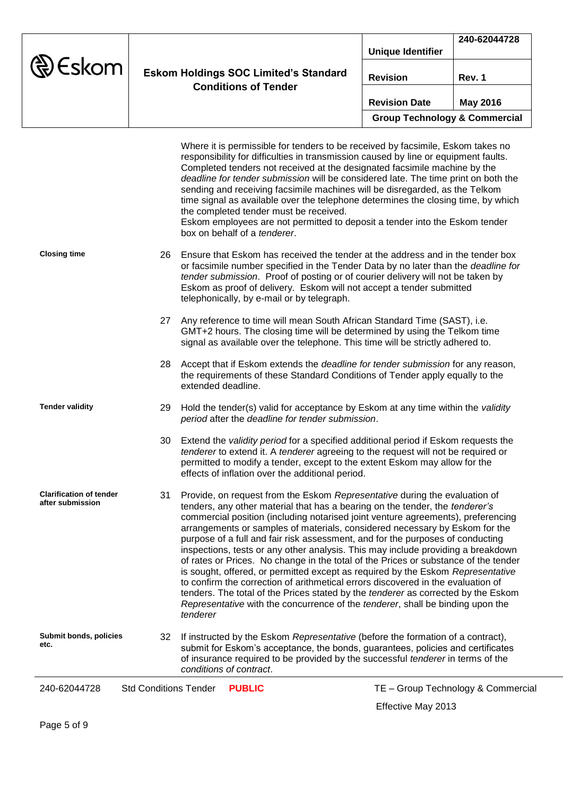|                  |                                                                             |                                          | 240-62044728 |
|------------------|-----------------------------------------------------------------------------|------------------------------------------|--------------|
| $\bigcirc$ Eskom | <b>Eskom Holdings SOC Limited's Standard</b><br><b>Conditions of Tender</b> | <b>Unique Identifier</b>                 |              |
|                  |                                                                             | <b>Revision</b>                          | Rev. 1       |
|                  |                                                                             | <b>Revision Date</b>                     | May 2016     |
|                  |                                                                             | <b>Group Technology &amp; Commercial</b> |              |

| 240-62044728                                       | <b>Std Conditions Tender</b><br>TE - Group Technology & Commercial<br><b>PUBLIC</b>                                                                                                                                                                                                                                                                                                                                                                                                                                                                                                                                                                                                                                                                                                                                                                                                                                                                               |
|----------------------------------------------------|-------------------------------------------------------------------------------------------------------------------------------------------------------------------------------------------------------------------------------------------------------------------------------------------------------------------------------------------------------------------------------------------------------------------------------------------------------------------------------------------------------------------------------------------------------------------------------------------------------------------------------------------------------------------------------------------------------------------------------------------------------------------------------------------------------------------------------------------------------------------------------------------------------------------------------------------------------------------|
| Submit bonds, policies<br>etc.                     | If instructed by the Eskom Representative (before the formation of a contract),<br>32<br>submit for Eskom's acceptance, the bonds, guarantees, policies and certificates<br>of insurance required to be provided by the successful tenderer in terms of the<br>conditions of contract.                                                                                                                                                                                                                                                                                                                                                                                                                                                                                                                                                                                                                                                                            |
| <b>Clarification of tender</b><br>after submission | Provide, on request from the Eskom Representative during the evaluation of<br>31<br>tenders, any other material that has a bearing on the tender, the tenderer's<br>commercial position (including notarised joint venture agreements), preferencing<br>arrangements or samples of materials, considered necessary by Eskom for the<br>purpose of a full and fair risk assessment, and for the purposes of conducting<br>inspections, tests or any other analysis. This may include providing a breakdown<br>of rates or Prices. No change in the total of the Prices or substance of the tender<br>is sought, offered, or permitted except as required by the Eskom Representative<br>to confirm the correction of arithmetical errors discovered in the evaluation of<br>tenders. The total of the Prices stated by the <i>tenderer</i> as corrected by the Eskom<br>Representative with the concurrence of the tenderer, shall be binding upon the<br>tenderer |
|                                                    | Extend the validity period for a specified additional period if Eskom requests the<br>30<br>tenderer to extend it. A tenderer agreeing to the request will not be required or<br>permitted to modify a tender, except to the extent Eskom may allow for the<br>effects of inflation over the additional period.                                                                                                                                                                                                                                                                                                                                                                                                                                                                                                                                                                                                                                                   |
| <b>Tender validity</b>                             | 29<br>Hold the tender(s) valid for acceptance by Eskom at any time within the validity<br>period after the deadline for tender submission.                                                                                                                                                                                                                                                                                                                                                                                                                                                                                                                                                                                                                                                                                                                                                                                                                        |
|                                                    | Accept that if Eskom extends the <i>deadline for tender submission</i> for any reason,<br>28<br>the requirements of these Standard Conditions of Tender apply equally to the<br>extended deadline.                                                                                                                                                                                                                                                                                                                                                                                                                                                                                                                                                                                                                                                                                                                                                                |
|                                                    | Any reference to time will mean South African Standard Time (SAST), i.e.<br>27<br>GMT+2 hours. The closing time will be determined by using the Telkom time<br>signal as available over the telephone. This time will be strictly adhered to.                                                                                                                                                                                                                                                                                                                                                                                                                                                                                                                                                                                                                                                                                                                     |
| <b>Closing time</b>                                | Ensure that Eskom has received the tender at the address and in the tender box<br>26<br>or facsimile number specified in the Tender Data by no later than the deadline for<br>tender submission. Proof of posting or of courier delivery will not be taken by<br>Eskom as proof of delivery. Eskom will not accept a tender submitted<br>telephonically, by e-mail or by telegraph.                                                                                                                                                                                                                                                                                                                                                                                                                                                                                                                                                                               |
|                                                    | Where it is permissible for tenders to be received by facsimile, Eskom takes no<br>responsibility for difficulties in transmission caused by line or equipment faults.<br>Completed tenders not received at the designated facsimile machine by the<br>deadline for tender submission will be considered late. The time print on both the<br>sending and receiving facsimile machines will be disregarded, as the Telkom<br>time signal as available over the telephone determines the closing time, by which<br>the completed tender must be received.<br>Eskom employees are not permitted to deposit a tender into the Eskom tender<br>box on behalf of a tenderer.                                                                                                                                                                                                                                                                                            |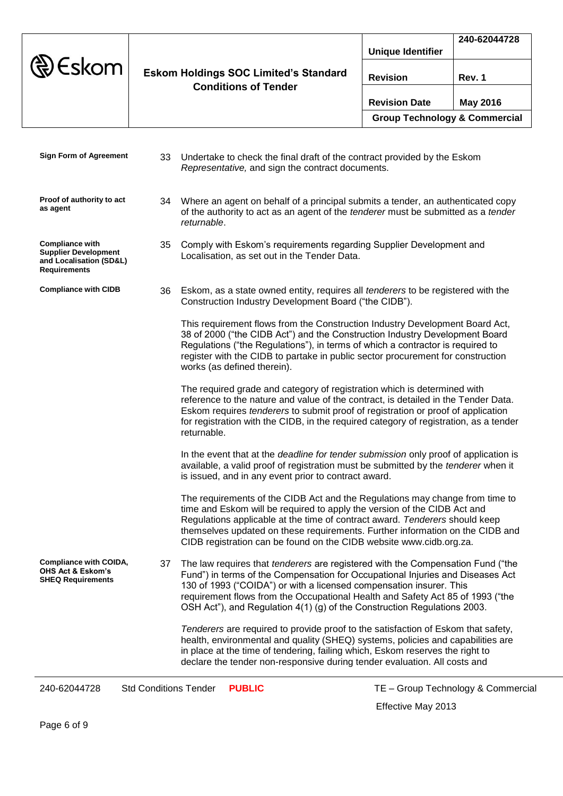| $\circledR$ Eskom             | <b>Eskom Holdings SOC Limited's Standard</b><br><b>Conditions of Tender</b>    | <b>Unique Identifier</b>                 | 240-62044728 |
|-------------------------------|--------------------------------------------------------------------------------|------------------------------------------|--------------|
|                               |                                                                                | <b>Revision</b>                          | Rev. 1       |
|                               |                                                                                | <b>Revision Date</b>                     | May 2016     |
|                               |                                                                                | <b>Group Technology &amp; Commercial</b> |              |
| <b>Sign Form of Agreement</b> | Indertake to check the final draft of the contract provided by the Eskom<br>วว |                                          |              |

|                                                                                                         |    | Origeriane to criech the mial dialt of the contract provided by the ESNOTH<br>Representative, and sign the contract documents.                                                                                                                                                                                                                                                                                |
|---------------------------------------------------------------------------------------------------------|----|---------------------------------------------------------------------------------------------------------------------------------------------------------------------------------------------------------------------------------------------------------------------------------------------------------------------------------------------------------------------------------------------------------------|
| Proof of authority to act<br>as agent                                                                   | 34 | Where an agent on behalf of a principal submits a tender, an authenticated copy<br>of the authority to act as an agent of the <i>tenderer</i> must be submitted as a <i>tender</i><br>returnable.                                                                                                                                                                                                             |
| <b>Compliance with</b><br><b>Supplier Development</b><br>and Localisation (SD&L)<br><b>Requirements</b> | 35 | Comply with Eskom's requirements regarding Supplier Development and<br>Localisation, as set out in the Tender Data.                                                                                                                                                                                                                                                                                           |
| <b>Compliance with CIDB</b>                                                                             | 36 | Eskom, as a state owned entity, requires all tenderers to be registered with the<br>Construction Industry Development Board ("the CIDB").                                                                                                                                                                                                                                                                     |
|                                                                                                         |    | This requirement flows from the Construction Industry Development Board Act,<br>38 of 2000 ("the CIDB Act") and the Construction Industry Development Board<br>Regulations ("the Regulations"), in terms of which a contractor is required to<br>register with the CIDB to partake in public sector procurement for construction<br>works (as defined therein).                                               |
|                                                                                                         |    | The required grade and category of registration which is determined with<br>reference to the nature and value of the contract, is detailed in the Tender Data.<br>Eskom requires tenderers to submit proof of registration or proof of application<br>for registration with the CIDB, in the required category of registration, as a tender<br>returnable.                                                    |
|                                                                                                         |    | In the event that at the <i>deadline for tender submission</i> only proof of application is<br>available, a valid proof of registration must be submitted by the tenderer when it<br>is issued, and in any event prior to contract award.                                                                                                                                                                     |
|                                                                                                         |    | The requirements of the CIDB Act and the Regulations may change from time to<br>time and Eskom will be required to apply the version of the CIDB Act and<br>Regulations applicable at the time of contract award. Tenderers should keep<br>themselves updated on these requirements. Further information on the CIDB and<br>CIDB registration can be found on the CIDB website www.cidb.org.za.               |
| <b>Compliance with COIDA,</b><br><b>OHS Act &amp; Eskom's</b><br><b>SHEQ Requirements</b>               | 37 | The law requires that <i>tenderers</i> are registered with the Compensation Fund ("the<br>Fund") in terms of the Compensation for Occupational Injuries and Diseases Act<br>130 of 1993 ("COIDA") or with a licensed compensation insurer. This<br>requirement flows from the Occupational Health and Safety Act 85 of 1993 ("the<br>OSH Act"), and Regulation 4(1) (g) of the Construction Regulations 2003. |
|                                                                                                         |    | Tenderers are required to provide proof to the satisfaction of Eskom that safety,<br>health, environmental and quality (SHEQ) systems, policies and capabilities are<br>in place at the time of tendering, failing which, Eskom reserves the right to<br>declare the tender non-responsive during tender evaluation. All costs and                                                                            |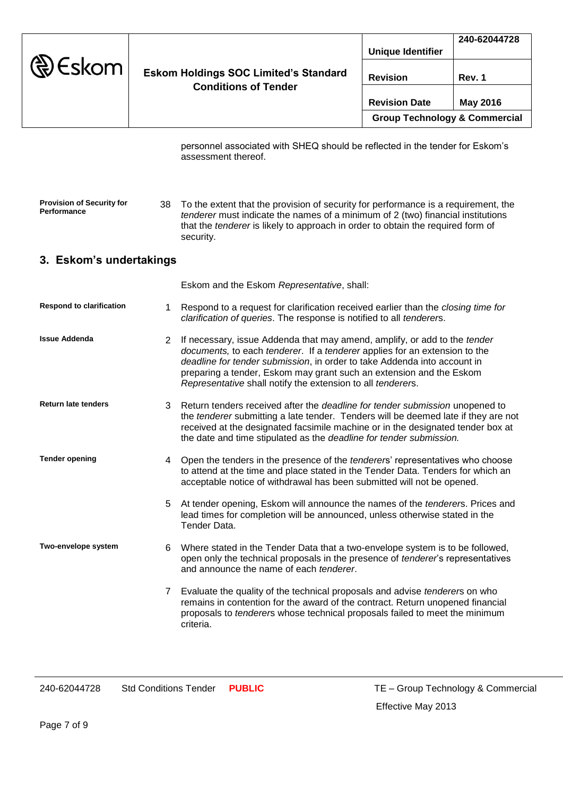|                   |                                                                             |                                          | 240-62044728 |
|-------------------|-----------------------------------------------------------------------------|------------------------------------------|--------------|
| $\circledR$ Eskom | <b>Eskom Holdings SOC Limited's Standard</b><br><b>Conditions of Tender</b> | <b>Unique Identifier</b>                 |              |
|                   |                                                                             | <b>Revision</b>                          | Rev. 1       |
|                   |                                                                             | <b>Revision Date</b>                     | May 2016     |
|                   |                                                                             | <b>Group Technology &amp; Commercial</b> |              |

personnel associated with SHEQ should be reflected in the tender for Eskom's assessment thereof.

**Provision of Security for Performance** 38 To the extent that the provision of security for performance is a requirement, the *tenderer* must indicate the names of a minimum of 2 (two) financial institutions that the *tenderer* is likely to approach in order to obtain the required form of security.

## **3. Eskom's undertakings**

Eskom and the Eskom *Representative*, shall:

- **Respond to clarification** 1 Respond to a request for clarification received earlier than the *closing time for clarification of queries*. The response is notified to all *tenderer*s.
- **Issue Addenda** 2 If necessary, issue Addenda that may amend, amplify, or add to the *tender documents,* to each *tenderer*. If a *tenderer* applies for an extension to the *deadline for tender submission*, in order to take Addenda into account in preparing a tender, Eskom may grant such an extension and the Eskom *Representative* shall notify the extension to all *tenderer*s.
- **Return late tenders** 3 Return tenders received after the *deadline for tender submission* unopened to the *tenderer* submitting a late tender. Tenders will be deemed late if they are not received at the designated facsimile machine or in the designated tender box at the date and time stipulated as the *deadline for tender submission.*
- Tender opening and the sense of the sense of the *tenderers'* representatives who choose to attend at the time and place stated in the Tender Data. Tenders for which an acceptable notice of withdrawal has been submitted will not be opened.
	- 5 At tender opening, Eskom will announce the names of the *tenderer*s. Prices and lead times for completion will be announced, unless otherwise stated in the Tender Data.
- **Two-envelope system** 6 Where stated in the Tender Data that a two-envelope system is to be followed, open only the technical proposals in the presence of *tenderer*'s representatives and announce the name of each *tenderer*.
	- 7 Evaluate the quality of the technical proposals and advise *tenderer*s on who remains in contention for the award of the contract. Return unopened financial proposals to *tenderer*s whose technical proposals failed to meet the minimum criteria.

240-62044728 Std Conditions Tender **PUBLIC** TE – Group Technology & Commercial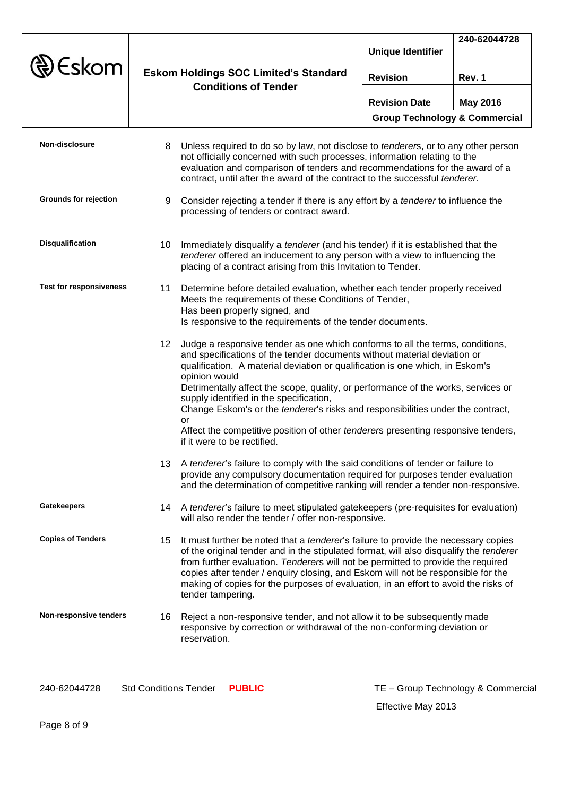|                                |                  |                                                                                                                                                                                                                                                                                                                                                                                                                                                                                                                                                                                                          |                                          | 240-62044728    |
|--------------------------------|------------------|----------------------------------------------------------------------------------------------------------------------------------------------------------------------------------------------------------------------------------------------------------------------------------------------------------------------------------------------------------------------------------------------------------------------------------------------------------------------------------------------------------------------------------------------------------------------------------------------------------|------------------------------------------|-----------------|
|                                |                  |                                                                                                                                                                                                                                                                                                                                                                                                                                                                                                                                                                                                          | <b>Unique Identifier</b>                 |                 |
| Eskom                          |                  | <b>Eskom Holdings SOC Limited's Standard</b><br><b>Conditions of Tender</b>                                                                                                                                                                                                                                                                                                                                                                                                                                                                                                                              | <b>Revision</b>                          | Rev. 1          |
|                                |                  |                                                                                                                                                                                                                                                                                                                                                                                                                                                                                                                                                                                                          | <b>Revision Date</b>                     | <b>May 2016</b> |
|                                |                  |                                                                                                                                                                                                                                                                                                                                                                                                                                                                                                                                                                                                          | <b>Group Technology &amp; Commercial</b> |                 |
| Non-disclosure                 | 8                | Unless required to do so by law, not disclose to <i>tenderers</i> , or to any other person<br>not officially concerned with such processes, information relating to the<br>evaluation and comparison of tenders and recommendations for the award of a<br>contract, until after the award of the contract to the successful tenderer.                                                                                                                                                                                                                                                                    |                                          |                 |
| Grounds for rejection          | 9                | Consider rejecting a tender if there is any effort by a tenderer to influence the<br>processing of tenders or contract award.                                                                                                                                                                                                                                                                                                                                                                                                                                                                            |                                          |                 |
| <b>Disqualification</b>        | 10               | Immediately disqualify a <i>tenderer</i> (and his tender) if it is established that the<br>tenderer offered an inducement to any person with a view to influencing the<br>placing of a contract arising from this Invitation to Tender.                                                                                                                                                                                                                                                                                                                                                                  |                                          |                 |
| <b>Test for responsiveness</b> | 11               | Determine before detailed evaluation, whether each tender properly received<br>Meets the requirements of these Conditions of Tender,<br>Has been properly signed, and<br>Is responsive to the requirements of the tender documents.                                                                                                                                                                                                                                                                                                                                                                      |                                          |                 |
|                                | 12 <sup>12</sup> | Judge a responsive tender as one which conforms to all the terms, conditions,<br>and specifications of the tender documents without material deviation or<br>qualification. A material deviation or qualification is one which, in Eskom's<br>opinion would<br>Detrimentally affect the scope, quality, or performance of the works, services or<br>supply identified in the specification,<br>Change Eskom's or the tenderer's risks and responsibilities under the contract,<br>or<br>Affect the competitive position of other tenderers presenting responsive tenders,<br>if it were to be rectified. |                                          |                 |
|                                |                  | 13 A tenderer's failure to comply with the said conditions of tender or failure to<br>provide any compulsory documentation required for purposes tender evaluation<br>and the determination of competitive ranking will render a tender non-responsive.                                                                                                                                                                                                                                                                                                                                                  |                                          |                 |
| <b>Gatekeepers</b>             |                  | 14 A tenderer's failure to meet stipulated gatekeepers (pre-requisites for evaluation)<br>will also render the tender / offer non-responsive.                                                                                                                                                                                                                                                                                                                                                                                                                                                            |                                          |                 |
| <b>Copies of Tenders</b>       | 15               | It must further be noted that a <i>tenderer's</i> failure to provide the necessary copies<br>of the original tender and in the stipulated format, will also disqualify the tenderer<br>from further evaluation. Tenderers will not be permitted to provide the required<br>copies after tender / enquiry closing, and Eskom will not be responsible for the<br>making of copies for the purposes of evaluation, in an effort to avoid the risks of<br>tender tampering.                                                                                                                                  |                                          |                 |
| Non-responsive tenders         |                  | 16 Reject a non-responsive tender, and not allow it to be subsequently made<br>responsive by correction or withdrawal of the non-conforming deviation or<br>reservation.                                                                                                                                                                                                                                                                                                                                                                                                                                 |                                          |                 |